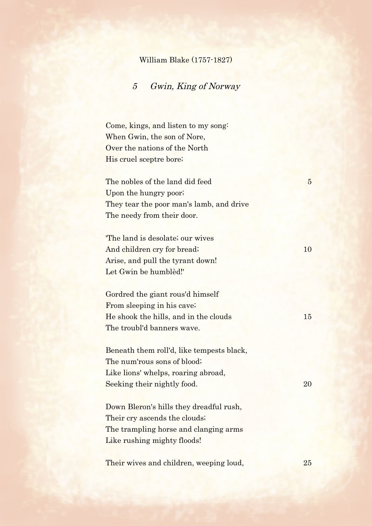## William Blake (1757-1827)

## 5 Gwin, King of Norway

Come, kings, and listen to my song: When Gwin, the son of Nore, Over the nations of the North His cruel sceptre bore;

The nobles of the land did feed 5 Upon the hungry poor; They tear the poor man's lamb, and drive The needy from their door.

'The land is desolate; our wives And children cry for bread; 10 Arise, and pull the tyrant down! Let Gwin be humblèd!'

Gordred the giant rous'd himself From sleeping in his cave; He shook the hills, and in the clouds 15 The troubl'd banners wave.

Beneath them roll'd, like tempests black, The num'rous sons of blood; Like lions' whelps, roaring abroad, Seeking their nightly food. 20

Down Bleron's hills they dreadful rush, Their cry ascends the clouds; The trampling horse and clanging arms Like rushing mighty floods!

Their wives and children, weeping loud, 25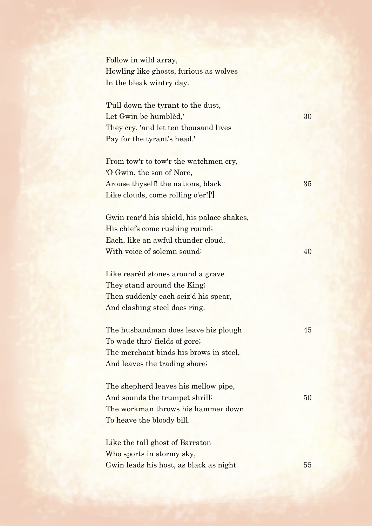Follow in wild array, Howling like ghosts, furious as wolves In the bleak wintry day.

'Pull down the tyrant to the dust, Let Gwin be humblèd,' 30 They cry, 'and let ten thousand lives Pay for the tyrant's head.'

From tow'r to tow'r the watchmen cry, 'O Gwin, the son of Nore, Arouse thyself! the nations, black 35 Like clouds, come rolling o'er![']

Gwin rear'd his shield, his palace shakes, His chiefs come rushing round; Each, like an awful thunder cloud, With voice of solemn sound: 40

Like rearèd stones around a grave They stand around the King; Then suddenly each seiz'd his spear, And clashing steel does ring.

The husbandman does leave his plough 45 To wade thro' fields of gore; The merchant binds his brows in steel. And leaves the trading shore;

The shepherd leaves his mellow pipe, And sounds the trumpet shrill; 50 The workman throws his hammer down To heave the bloody bill.

Like the tall ghost of Barraton Who sports in stormy sky, Gwin leads his host, as black as night 55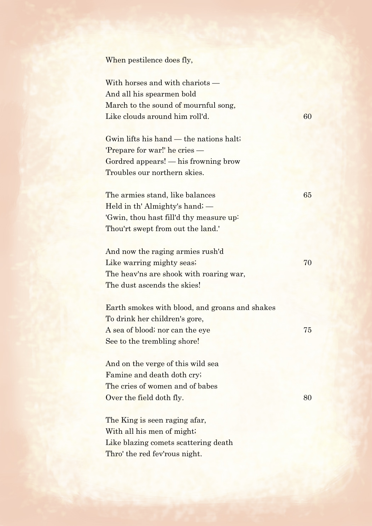When pestilence does fly,

With horses and with chariots — And all his spearmen bold March to the sound of mournful song, Like clouds around him roll'd. 60

Gwin lifts his hand — the nations halt; 'Prepare for war!' he cries — Gordred appears! — his frowning brow Troubles our northern skies.

The armies stand, like balances 65 Held in th' Almighty's hand; — 'Gwin, thou hast fill'd thy measure up: Thou'rt swept from out the land.'

And now the raging armies rush'd Like warring mighty seas; 70 The heav'ns are shook with roaring war, The dust ascends the skies!

Earth smokes with blood, and groans and shakes To drink her children's gore, A sea of blood; nor can the eye 75 See to the trembling shore!

And on the verge of this wild sea Famine and death doth cry; The cries of women and of babes Over the field doth fly. 80

The King is seen raging afar, With all his men of might; Like blazing comets scattering death Thro' the red fev'rous night.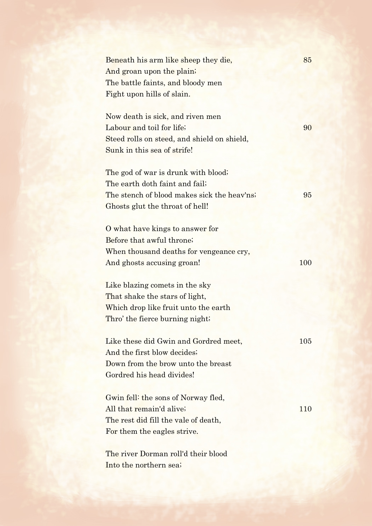| Beneath his arm like sheep they die,<br>And groan upon the plain;<br>The battle faints, and bloody men<br>Fight upon hills of slain.                    | 85  |
|---------------------------------------------------------------------------------------------------------------------------------------------------------|-----|
| Now death is sick, and riven men<br>Labour and toil for life;<br>Steed rolls on steed, and shield on shield,<br>Sunk in this sea of strife!             | 90  |
| The god of war is drunk with blood;<br>The earth doth faint and fail;<br>The stench of blood makes sick the heav'ns;<br>Ghosts glut the throat of hell! | 95  |
| O what have kings to answer for<br>Before that awful throne;<br>When thousand deaths for vengeance cry,<br>And ghosts accusing groan!                   | 100 |
| Like blazing comets in the sky<br>That shake the stars of light,<br>Which drop like fruit unto the earth<br>Thro' the fierce burning night;             |     |
| Like these did Gwin and Gordred meet,<br>And the first blow decides;<br>Down from the brow unto the breast<br>Gordred his head divides!                 | 105 |
| Gwin fell: the sons of Norway fled,<br>All that remain'd alive;<br>The rest did fill the vale of death,<br>For them the eagles strive.                  | 110 |
| The river Dorman roll'd their blood<br>Into the northern sea;                                                                                           |     |